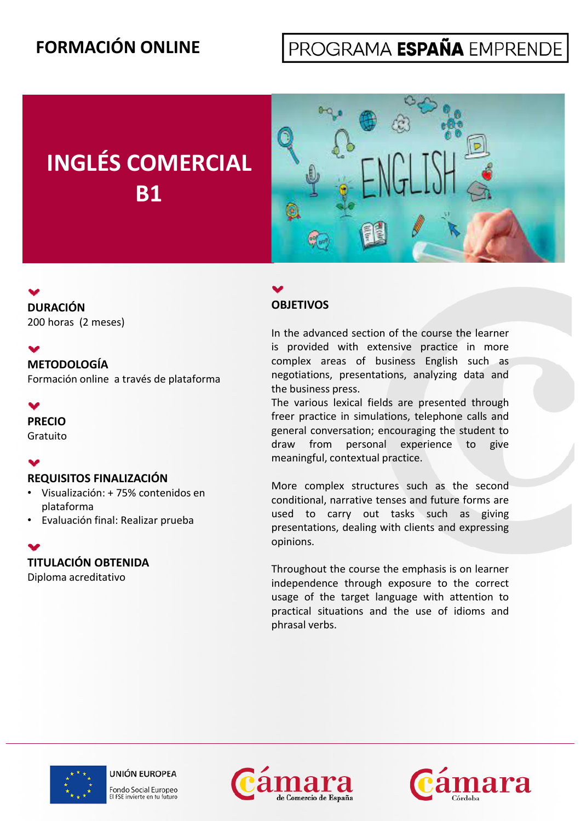### **FORMACIÓN ONLINE**

## PROGRAMA ESPAÑA EMPRENDE

# **INGLÉS COMERCIAL B1**



### **OBJETIVOS**

In the advanced section of the course the learner is provided with extensive practice in more **METODOLOGÍA COMPLEX** areas of business English such as negotiations, presentations, analyzing data and the business press.

> The various lexical fields are presented through freer practice in simulations, telephone calls and general conversation; encouraging the student to draw from personal experience to give meaningful, contextual practice.

> More complex structures such as the second conditional, narrative tenses and future forms are used to carry out tasks such as giving presentations, dealing with clients and expressing opinions. p

> Throughout the course the emphasis is on learner independence through exposure to the correct usage of the target language with attention to practical situations and the use of idioms and phrasal verbs.



**UNIÓN EUROPEA** Fondo Social Europeo El FSE invierte en tu futuro





## • Evaluación final: Realizar prueba

**PRECIO** Gratuito

M

 $\bullet$ 

 $\blacktriangledown$ 

**DURACIÓN**

200 horas (2 meses)

Formación online a través de plataforma

#### **TITULACIÓN OBTENIDA**

**REQUISITOS FINALIZACIÓN**

• Visualización: + 75% contenidos en

Diploma acreditativo

plataforma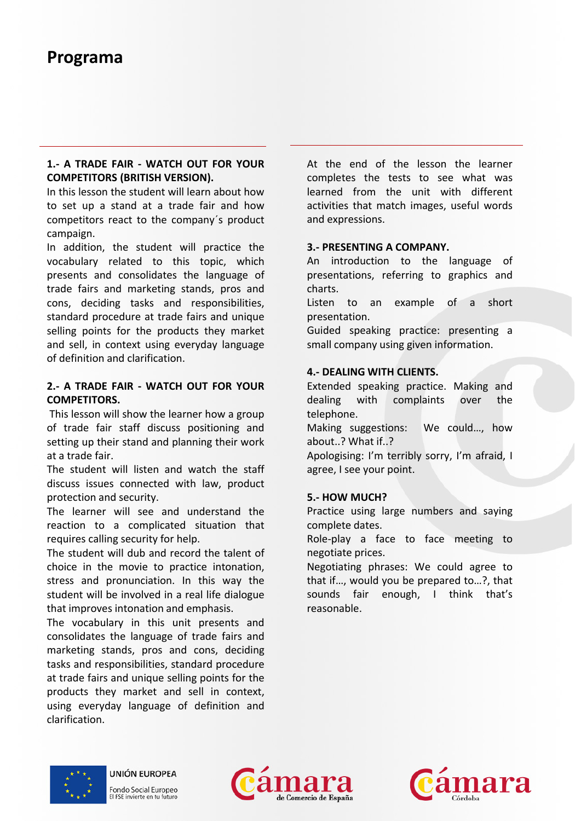### **Programa**

#### **1.- A TRADE FAIR - WATCH OUT FOR YOUR COMPETITORS (BRITISH VERSION).**

In this lesson the student will learn about how to set up a stand at a trade fair and how competitors react to the company´s product campaign.

In addition, the student will practice the vocabulary related to this topic, which presents and consolidates the language of trade fairs and marketing stands, pros and cons, deciding tasks and responsibilities, standard procedure at trade fairs and unique selling points for the products they market and sell, in context using everyday language of definition and clarification.

#### **2.- A TRADE FAIR - WATCH OUT FOR YOUR COMPETITORS.**

This lesson will show the learner how a group of trade fair staff discuss positioning and setting up their stand and planning their work at a trade fair

The student will listen and watch the staff discuss issues connected with law, product protection and security.

The learner will see and understand the reaction to a complicated situation that requires calling security for help.

The student will dub and record the talent of choice in the movie to practice intonation, stress and pronunciation. In this way the student will be involved in a real life dialogue that improves intonation and emphasis.

The vocabulary in this unit presents and consolidates the language of trade fairs and marketing stands, pros and cons, deciding tasks and responsibilities, standard procedure at trade fairs and unique selling points for the products they market and sell in context, using everyday language of definition and clarification.

At the end of the lesson the learner **(BRITISH VERSION).** The completes the tests to see what was learned from the unit with different activities that match images, useful words and expressions.

#### **3.- PRESENTING A COMPANY.**

An introduction to the language of f better presentations, referring to graphics and charts.

> Listen to an example of a short presentation.

> Guided speaking practice: presenting a small company using given information.

#### **4.- DEALING WITH CLIENTS.**

Extended speaking practice. Making and dealing with complaints over the telephone.

Making suggestions: We could…, how about..? What if..?

fair. Apologising: I'm terribly sorry, I'm afraid, I m and I make the Magnetic Muslim and I material in the Ma agree, I see your point.

#### **5.- HOW MUCH?**

Practice using large numbers and saying complete dates.

Role-play a face to face meeting to negotiate prices.

Negotiating phrases: We could agree to that if…, would you be prepared to…?, that sounds fair enough, I think that's reasonable.